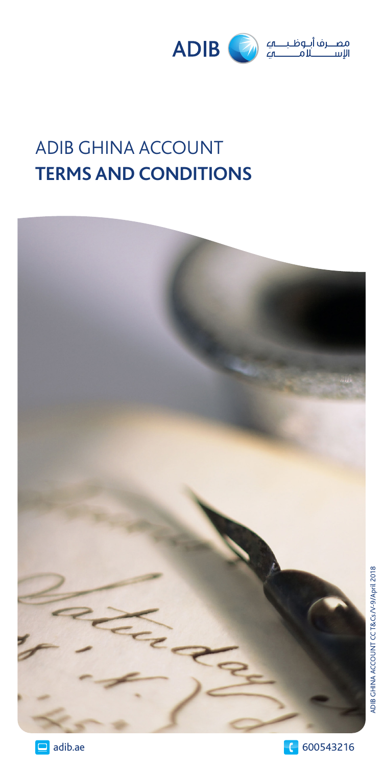

# ADIB GHINA ACCOUNT **TERMS AND CONDITIONS**





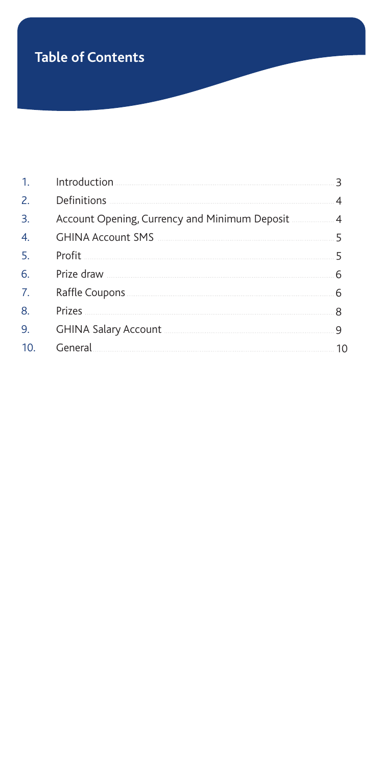## **Table of Contents**

| 1. |                                                                                                                                                                                                                                      |    |
|----|--------------------------------------------------------------------------------------------------------------------------------------------------------------------------------------------------------------------------------------|----|
| 2. |                                                                                                                                                                                                                                      | 4  |
| 3. | Account Opening, Currency and Minimum Deposit                                                                                                                                                                                        | 4  |
| 4. | GHINA Account SMS <b>STARTED AND THE START OF STARTING ACCOUNT</b>                                                                                                                                                                   | 5  |
| 5. |                                                                                                                                                                                                                                      | 5  |
| 6. |                                                                                                                                                                                                                                      | 6  |
| 7. | Raffle Coupons.                                                                                                                                                                                                                      | 6  |
| 8. |                                                                                                                                                                                                                                      |    |
| 9. | <b>GHINA Salary Account</b>                                                                                                                                                                                                          | 9  |
| 10 | General <b>contract of the contract of the contract of the contract of the contract of the contract of the contract of the contract of the contract of the contract of the contract of the contract of the contract of the contr</b> | 10 |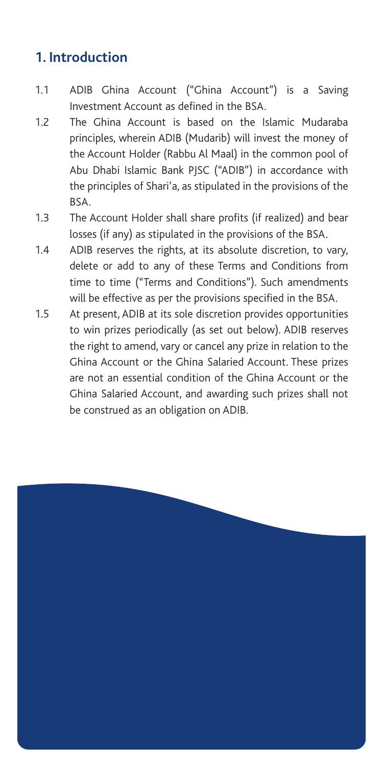### **1. Introduction**

- 1.1 ADIB Ghina Account ("Ghina Account") is a Saving Investment Account as defined in the BSA.
- 1.2 The Ghina Account is based on the Islamic Mudaraba principles, wherein ADIB (Mudarib) will invest the money of the Account Holder (Rabbu Al Maal) in the common pool of Abu Dhabi Islamic Bank PJSC ("ADIB") in accordance with the principles of Shari'a, as stipulated in the provisions of the BSA.
- 1.3 The Account Holder shall share profits (if realized) and bear losses (if any) as stipulated in the provisions of the BSA.
- 1.4 ADIB reserves the rights, at its absolute discretion, to vary, delete or add to any of these Terms and Conditions from time to time ("Terms and Conditions"). Such amendments will be effective as per the provisions specified in the BSA.
- 1.5 At present, ADIB at its sole discretion provides opportunities to win prizes periodically (as set out below). ADIB reserves the right to amend, vary or cancel any prize in relation to the Ghina Account or the Ghina Salaried Account. These prizes are not an essential condition of the Ghina Account or the Ghina Salaried Account, and awarding such prizes shall not be construed as an obligation on ADIB.

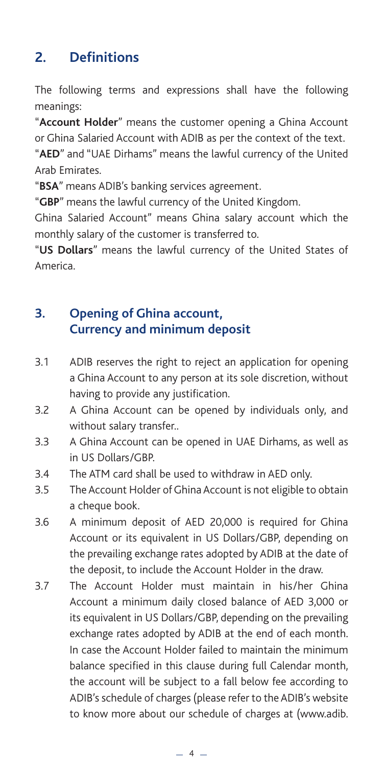## **2. Definitions**

The following terms and expressions shall have the following meanings:

"**Account Holder**" means the customer opening a Ghina Account or Ghina Salaried Account with ADIB as per the context of the text.

"**AED**" and "UAE Dirhams" means the lawful currency of the United Arab Emirates.

"**BSA**" means ADIB's banking services agreement.

"**GBP**" means the lawful currency of the United Kingdom.

Ghina Salaried Account" means Ghina salary account which the monthly salary of the customer is transferred to.

"**US Dollars**" means the lawful currency of the United States of America.

#### **3. Opening of Ghina account, Currency and minimum deposit**

- 3.1 ADIB reserves the right to reject an application for opening a Ghina Account to any person at its sole discretion, without having to provide any justification.
- 3.2 A Ghina Account can be opened by individuals only, and without salary transfer..
- 3.3 A Ghina Account can be opened in UAE Dirhams, as well as in US Dollars/GBP.
- 3.4 The ATM card shall be used to withdraw in AED only.
- 3.5 The Account Holder of Ghina Account is not eligible to obtain a cheque book.
- 3.6 A minimum deposit of AED 20,000 is required for Ghina Account or its equivalent in US Dollars/GBP, depending on the prevailing exchange rates adopted by ADIB at the date of the deposit, to include the Account Holder in the draw.
- 3.7 The Account Holder must maintain in his/her Ghina Account a minimum daily closed balance of AED 3,000 or its equivalent in US Dollars/GBP, depending on the prevailing exchange rates adopted by ADIB at the end of each month. In case the Account Holder failed to maintain the minimum balance specified in this clause during full Calendar month, the account will be subject to a fall below fee according to ADIB's schedule of charges (please refer to the ADIB's website to know more about our schedule of charges at (www.adib.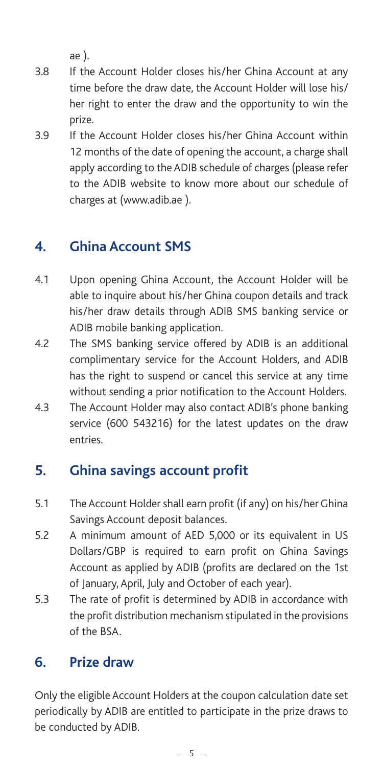ae ).

- 3.8 If the Account Holder closes his/her Ghina Account at any time before the draw date, the Account Holder will lose his/ her right to enter the draw and the opportunity to win the prize.
- 3.9 If the Account Holder closes his/her Ghina Account within 12 months of the date of opening the account, a charge shall apply according to the ADIB schedule of charges (please refer to the ADIB website to know more about our schedule of charges at (www.adib.ae ).

## **4. Ghina Account SMS**

- 4.1 Upon opening Ghina Account, the Account Holder will be able to inquire about his/her Ghina coupon details and track his/her draw details through ADIB SMS banking service or ADIB mobile banking application.
- 4.2 The SMS banking service offered by ADIB is an additional complimentary service for the Account Holders, and ADIB has the right to suspend or cancel this service at any time without sending a prior notification to the Account Holders.
- 4.3 The Account Holder may also contact ADIB's phone banking service (600 543216) for the latest updates on the draw entries.

#### **5. Ghina savings account profit**

- 5.1 The Account Holder shall earn profit (if any) on his/her Ghina Savings Account deposit balances.
- 5.2 A minimum amount of AED 5,000 or its equivalent in US Dollars/GBP is required to earn profit on Ghina Savings Account as applied by ADIB (profits are declared on the 1st of January, April, July and October of each year).
- 5.3 The rate of profit is determined by ADIB in accordance with the profit distribution mechanism stipulated in the provisions of the BSA.

#### **6. Prize draw**

Only the eligible Account Holders at the coupon calculation date set periodically by ADIB are entitled to participate in the prize draws to be conducted by ADIB.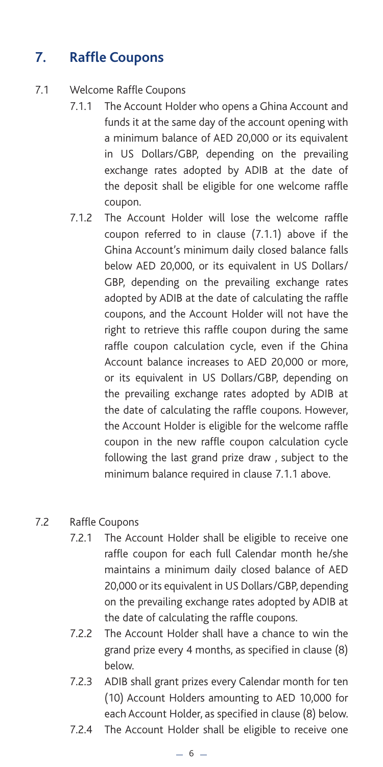## **7. Raffle Coupons**

- 7.1 Welcome Raffle Coupons
	- 7.1.1 The Account Holder who opens a Ghina Account and funds it at the same day of the account opening with a minimum balance of AED 20,000 or its equivalent in US Dollars/GBP, depending on the prevailing exchange rates adopted by ADIB at the date of the deposit shall be eligible for one welcome raffle coupon.
	- 7.1.2 The Account Holder will lose the welcome raffle coupon referred to in clause (7.1.1) above if the Ghina Account's minimum daily closed balance falls below AED 20,000, or its equivalent in US Dollars/ GBP, depending on the prevailing exchange rates adopted by ADIB at the date of calculating the raffle coupons, and the Account Holder will not have the right to retrieve this raffle coupon during the same raffle coupon calculation cycle, even if the Ghina Account balance increases to AED 20,000 or more, or its equivalent in US Dollars/GBP, depending on the prevailing exchange rates adopted by ADIB at the date of calculating the raffle coupons. However, the Account Holder is eligible for the welcome raffle coupon in the new raffle coupon calculation cycle following the last grand prize draw , subject to the minimum balance required in clause 7.1.1 above.

#### 7.2 Raffle Coupons

- 7.2.1 The Account Holder shall be eligible to receive one raffle coupon for each full Calendar month he/she maintains a minimum daily closed balance of AED 20,000 or its equivalent in US Dollars/GBP, depending on the prevailing exchange rates adopted by ADIB at the date of calculating the raffle coupons.
- 7.2.2 The Account Holder shall have a chance to win the grand prize every 4 months, as specified in clause (8) below.
- 7.2.3 ADIB shall grant prizes every Calendar month for ten (10) Account Holders amounting to AED 10,000 for each Account Holder, as specified in clause (8) below.
- 7.2.4 The Account Holder shall be eligible to receive one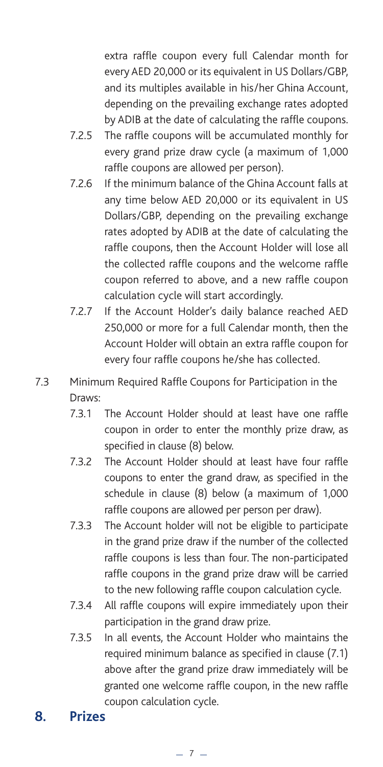extra raffle coupon every full Calendar month for every AED 20,000 or its equivalent in US Dollars/GBP, and its multiples available in his/her Ghina Account, depending on the prevailing exchange rates adopted by ADIB at the date of calculating the raffle coupons.

- 7.2.5 The raffle coupons will be accumulated monthly for every grand prize draw cycle (a maximum of 1,000 raffle coupons are allowed per person).
- 7.2.6 If the minimum balance of the Ghina Account falls at any time below AED 20,000 or its equivalent in US Dollars/GBP, depending on the prevailing exchange rates adopted by ADIB at the date of calculating the raffle coupons, then the Account Holder will lose all the collected raffle coupons and the welcome raffle coupon referred to above, and a new raffle coupon calculation cycle will start accordingly.
- 7.2.7 If the Account Holder's daily balance reached AED 250,000 or more for a full Calendar month, then the Account Holder will obtain an extra raffle coupon for every four raffle coupons he/she has collected.
- 7.3 Minimum Required Raffle Coupons for Participation in the Draws:
	- 7.3.1 The Account Holder should at least have one raffle coupon in order to enter the monthly prize draw, as specified in clause (8) below.
	- 7.3.2 The Account Holder should at least have four raffle coupons to enter the grand draw, as specified in the schedule in clause (8) below (a maximum of 1,000 raffle coupons are allowed per person per draw).
	- 7.3.3 The Account holder will not be eligible to participate in the grand prize draw if the number of the collected raffle coupons is less than four. The non-participated raffle coupons in the grand prize draw will be carried to the new following raffle coupon calculation cycle.
	- 7.3.4 All raffle coupons will expire immediately upon their participation in the grand draw prize.
	- 7.3.5 In all events, the Account Holder who maintains the required minimum balance as specified in clause (7.1) above after the grand prize draw immediately will be granted one welcome raffle coupon, in the new raffle coupon calculation cycle.

#### **8. Prizes**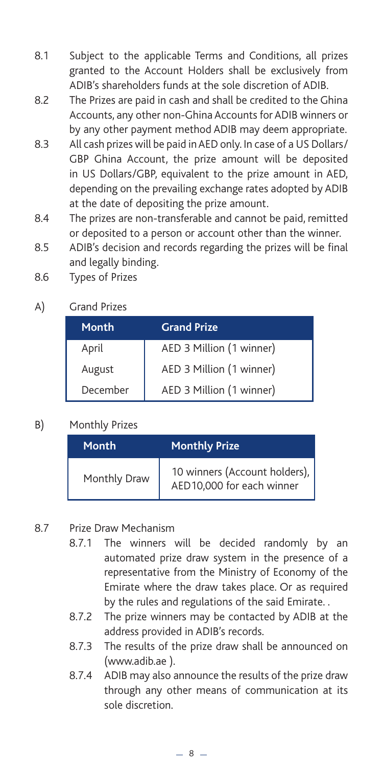- 8.1 Subject to the applicable Terms and Conditions, all prizes granted to the Account Holders shall be exclusively from ADIB's shareholders funds at the sole discretion of ADIB.
- 8.2 The Prizes are paid in cash and shall be credited to the Ghina Accounts, any other non-Ghina Accounts for ADIB winners or by any other payment method ADIB may deem appropriate.
- 8.3 All cash prizes will be paid in AED only. In case of a US Dollars/ GBP Ghina Account, the prize amount will be deposited in US Dollars/GBP, equivalent to the prize amount in AED, depending on the prevailing exchange rates adopted by ADIB at the date of depositing the prize amount.
- 8.4 The prizes are non-transferable and cannot be paid, remitted or deposited to a person or account other than the winner.
- 8.5 ADIB's decision and records regarding the prizes will be final and legally binding.
- 8.6 Types of Prizes
- A) Grand Prizes

| Month    | <b>Grand Prize</b>       |
|----------|--------------------------|
| April    | AED 3 Million (1 winner) |
| August   | AED 3 Million (1 winner) |
| December | AED 3 Million (1 winner) |

B) Monthly Prizes

| Month        | <b>Monthly Prize</b>                                       |
|--------------|------------------------------------------------------------|
| Monthly Draw | 10 winners (Account holders),<br>AED10,000 for each winner |

- 8.7 Prize Draw Mechanism
	- 8.7.1 The winners will be decided randomly by an automated prize draw system in the presence of a representative from the Ministry of Economy of the Emirate where the draw takes place. Or as required by the rules and regulations of the said Emirate. .
	- 8.7.2 The prize winners may be contacted by ADIB at the address provided in ADIB's records.
	- 8.7.3 The results of the prize draw shall be announced on (www.adib.ae ).
	- 8.7.4 ADIB may also announce the results of the prize draw through any other means of communication at its sole discretion.

 $-8-$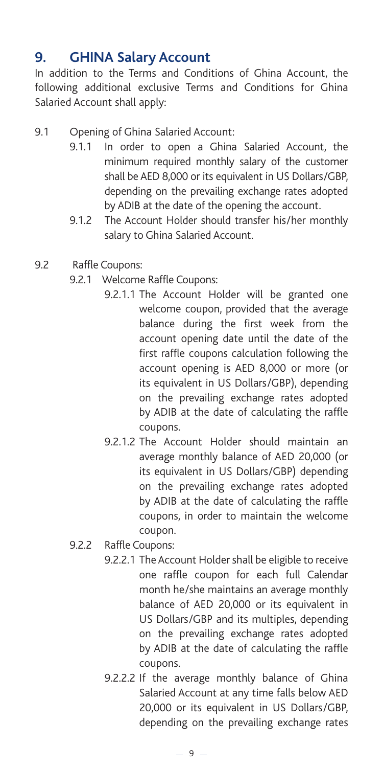#### **9. GHINA Salary Account**

In addition to the Terms and Conditions of Ghina Account, the following additional exclusive Terms and Conditions for Ghina Salaried Account shall apply:

- 9.1 Opening of Ghina Salaried Account:
	- 9.1.1 In order to open a Ghina Salaried Account, the minimum required monthly salary of the customer shall be AED 8,000 or its equivalent in US Dollars/GBP, depending on the prevailing exchange rates adopted by ADIB at the date of the opening the account.
	- 9.1.2 The Account Holder should transfer his/her monthly salary to Ghina Salaried Account.
- 9.2 Raffle Coupons:
	- 9.2.1 Welcome Raffle Coupons:
		- 9.2.1.1 The Account Holder will be granted one welcome coupon, provided that the average balance during the first week from the account opening date until the date of the first raffle coupons calculation following the account opening is AED 8,000 or more (or its equivalent in US Dollars/GBP), depending on the prevailing exchange rates adopted by ADIB at the date of calculating the raffle coupons.
		- 9.2.1.2 The Account Holder should maintain an average monthly balance of AED 20,000 (or its equivalent in US Dollars/GBP) depending on the prevailing exchange rates adopted by ADIB at the date of calculating the raffle coupons, in order to maintain the welcome coupon.
	- 9.2.2 Raffle Coupons:
		- 9.2.2.1 The Account Holder shall be eligible to receive one raffle coupon for each full Calendar month he/she maintains an average monthly balance of AED 20,000 or its equivalent in US Dollars/GBP and its multiples, depending on the prevailing exchange rates adopted by ADIB at the date of calculating the raffle coupons.
		- 9.2.2.2 If the average monthly balance of Ghina Salaried Account at any time falls below AED 20,000 or its equivalent in US Dollars/GBP, depending on the prevailing exchange rates

 $-9-$